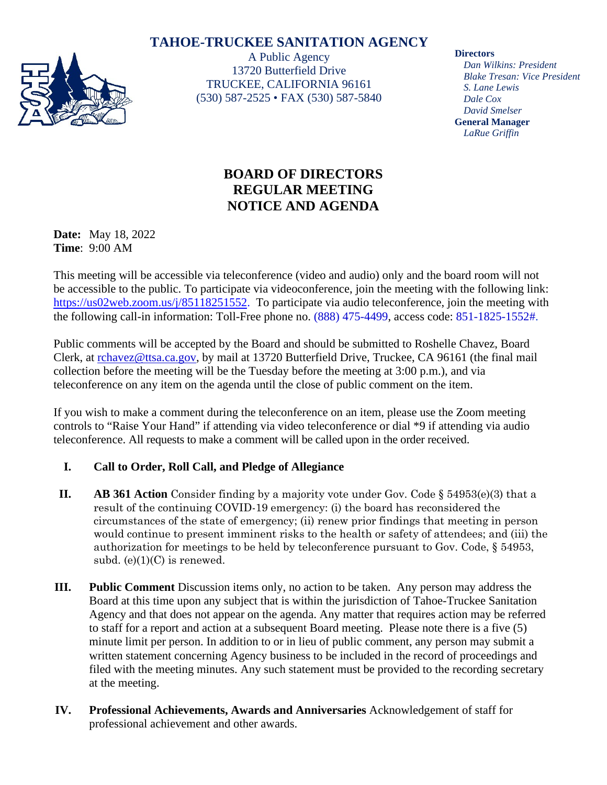# **TAHOE-TRUCKEE SANITATION AGENCY**



A Public Agency 13720 Butterfield Drive TRUCKEE, CALIFORNIA 96161 (530) 587-2525 • FAX (530) 587-5840

#### **Directors**

*Dan Wilkins: President Blake Tresan: Vice President S. Lane Lewis Dale Cox David Smelser* **General Manager** *LaRue Griffin*

# **BOARD OF DIRECTORS REGULAR MEETING NOTICE AND AGENDA**

**Date:** May 18, 2022 **Time**: 9:00 AM

This meeting will be accessible via teleconference (video and audio) only and the board room will not be accessible to the public. To participate via videoconference, join the meeting with the following link: [https://us02web.zoom.us/j/85118251552.](https://us02web.zoom.us/j/85118251552) To participate via audio teleconference, join the meeting with the following call-in information: Toll-Free phone no. (888) 475-4499, access code: 851-1825-1552#.

Public comments will be accepted by the Board and should be submitted to Roshelle Chavez, Board Clerk, at [rchavez@ttsa.c](mailto:rchavez@ttsa.)a.gov, by mail at 13720 Butterfield Drive, Truckee, CA 96161 (the final mail collection before the meeting will be the Tuesday before the meeting at 3:00 p.m.), and via teleconference on any item on the agenda until the close of public comment on the item.

If you wish to make a comment during the teleconference on an item, please use the Zoom meeting controls to "Raise Your Hand" if attending via video teleconference or dial \*9 if attending via audio teleconference. All requests to make a comment will be called upon in the order received.

### **I. Call to Order, Roll Call, and Pledge of Allegiance**

- **II. AB 361 Action** Consider finding by a majority vote under Gov. Code § 54953(e)(3) that a result of the continuing COVID-19 emergency: (i) the board has reconsidered the circumstances of the state of emergency; (ii) renew prior findings that meeting in person would continue to present imminent risks to the health or safety of attendees; and (iii) the authorization for meetings to be held by teleconference pursuant to Gov. Code, § 54953, subd.  $(e)(1)(C)$  is renewed.
- **III. Public Comment** Discussion items only, no action to be taken. Any person may address the Board at this time upon any subject that is within the jurisdiction of Tahoe-Truckee Sanitation Agency and that does not appear on the agenda. Any matter that requires action may be referred to staff for a report and action at a subsequent Board meeting. Please note there is a five (5) minute limit per person. In addition to or in lieu of public comment, any person may submit a written statement concerning Agency business to be included in the record of proceedings and filed with the meeting minutes. Any such statement must be provided to the recording secretary at the meeting.
- **IV. Professional Achievements, Awards and Anniversaries** Acknowledgement of staff for professional achievement and other awards.